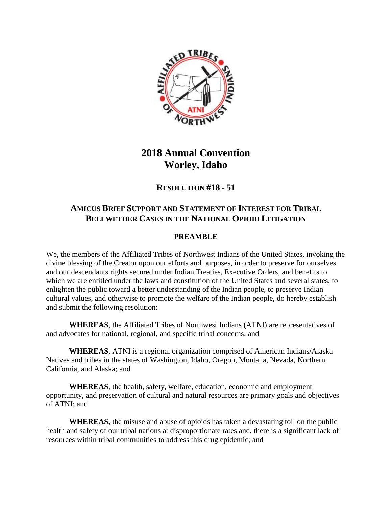

## **2018 Annual Convention Worley, Idaho**

**RESOLUTION #18 - 51**

## **AMICUS BRIEF SUPPORT AND STATEMENT OF INTEREST FOR TRIBAL BELLWETHER CASES IN THE NATIONAL OPIOID LITIGATION**

## **PREAMBLE**

We, the members of the Affiliated Tribes of Northwest Indians of the United States, invoking the divine blessing of the Creator upon our efforts and purposes, in order to preserve for ourselves and our descendants rights secured under Indian Treaties, Executive Orders, and benefits to which we are entitled under the laws and constitution of the United States and several states, to enlighten the public toward a better understanding of the Indian people, to preserve Indian cultural values, and otherwise to promote the welfare of the Indian people, do hereby establish and submit the following resolution:

**WHEREAS**, the Affiliated Tribes of Northwest Indians (ATNI) are representatives of and advocates for national, regional, and specific tribal concerns; and

**WHEREAS**, ATNI is a regional organization comprised of American Indians/Alaska Natives and tribes in the states of Washington, Idaho, Oregon, Montana, Nevada, Northern California, and Alaska; and

**WHEREAS**, the health, safety, welfare, education, economic and employment opportunity, and preservation of cultural and natural resources are primary goals and objectives of ATNI; and

**WHEREAS,** the misuse and abuse of opioids has taken a devastating toll on the public health and safety of our tribal nations at disproportionate rates and, there is a significant lack of resources within tribal communities to address this drug epidemic; and